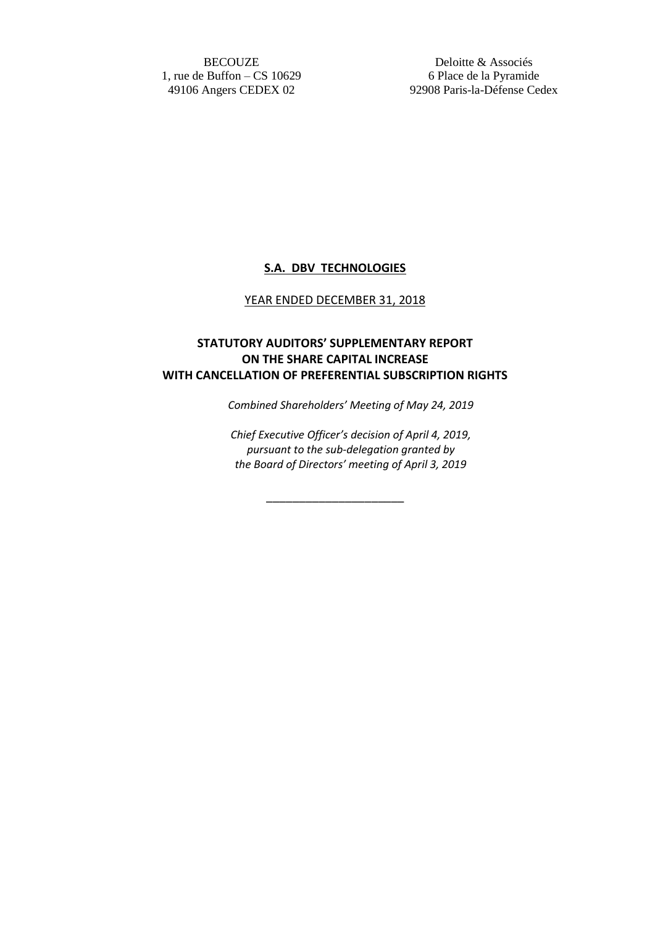**BECOUZE** 1, rue de Buffon – CS 10629 49106 Angers CEDEX 02

Deloitte & Associés 6 Place de la Pyramide 92908 Paris-la-Défense Cedex

## **S.A. DBV TECHNOLOGIES**

## YEAR ENDED DECEMBER 31, 2018

## **STATUTORY AUDITORS' SUPPLEMENTARY REPORT ON THE SHARE CAPITAL INCREASE WITH CANCELLATION OF PREFERENTIAL SUBSCRIPTION RIGHTS**

*Combined Shareholders' Meeting of May 24, 2019*

*Chief Executive Officer's decision of April 4, 2019, pursuant to the sub-delegation granted by the Board of Directors' meeting of April 3, 2019*

\_\_\_\_\_\_\_\_\_\_\_\_\_\_\_\_\_\_\_\_\_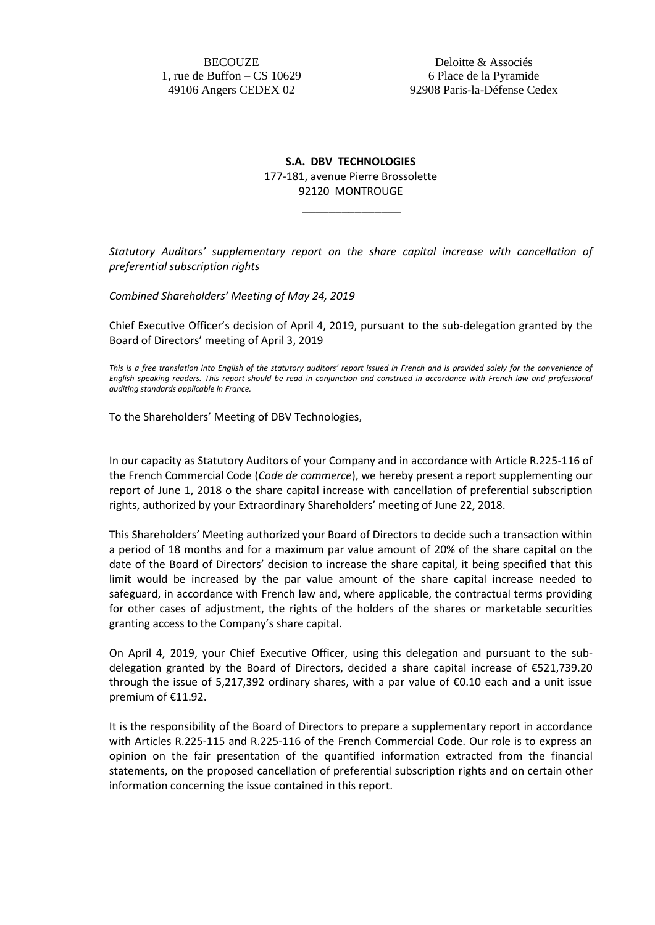**BECOUZE** 1, rue de Buffon – CS 10629 49106 Angers CEDEX 02

Deloitte & Associés 6 Place de la Pyramide 92908 Paris-la-Défense Cedex

**S.A. DBV TECHNOLOGIES** 177-181, avenue Pierre Brossolette 92120 MONTROUGE

\_\_\_\_\_\_\_\_\_\_\_\_\_\_\_

*Statutory Auditors' supplementary report on the share capital increase with cancellation of preferential subscription rights*

*Combined Shareholders' Meeting of May 24, 2019*

Chief Executive Officer's decision of April 4, 2019, pursuant to the sub-delegation granted by the Board of Directors' meeting of April 3, 2019

*This is a free translation into English of the statutory auditors' report issued in French and is provided solely for the convenience of English speaking readers. This report should be read in conjunction and construed in accordance with French law and professional auditing standards applicable in France.*

To the Shareholders' Meeting of DBV Technologies,

In our capacity as Statutory Auditors of your Company and in accordance with Article R.225-116 of the French Commercial Code (*Code de commerce*), we hereby present a report supplementing our report of June 1, 2018 o the share capital increase with cancellation of preferential subscription rights, authorized by your Extraordinary Shareholders' meeting of June 22, 2018.

This Shareholders' Meeting authorized your Board of Directors to decide such a transaction within a period of 18 months and for a maximum par value amount of 20% of the share capital on the date of the Board of Directors' decision to increase the share capital, it being specified that this limit would be increased by the par value amount of the share capital increase needed to safeguard, in accordance with French law and, where applicable, the contractual terms providing for other cases of adjustment, the rights of the holders of the shares or marketable securities granting access to the Company's share capital.

On April 4, 2019, your Chief Executive Officer, using this delegation and pursuant to the subdelegation granted by the Board of Directors, decided a share capital increase of €521,739.20 through the issue of 5,217,392 ordinary shares, with a par value of €0.10 each and a unit issue premium of €11.92.

It is the responsibility of the Board of Directors to prepare a supplementary report in accordance with Articles R.225-115 and R.225-116 of the French Commercial Code. Our role is to express an opinion on the fair presentation of the quantified information extracted from the financial statements, on the proposed cancellation of preferential subscription rights and on certain other information concerning the issue contained in this report.